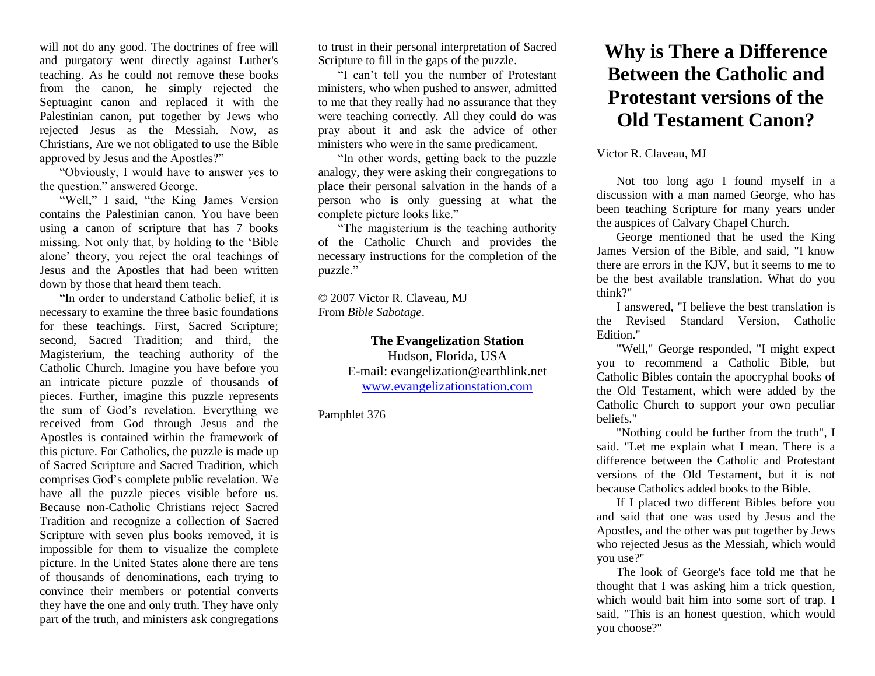will not do any good. The doctrines of free will and purgatory went directly against Luther's teaching. As he could not remove these books from the canon, he simply rejected the Septuagint canon and replaced it with the Palestinian canon, put together by Jews who rejected Jesus as the Messiah. Now, as Christians, Are we not obligated to use the Bible approved by Jesus and the Apostles?"

"Obviously, I would have to answer yes to the question." answered George.

"Well," I said, "the King James Version contains the Palestinian canon. You have been using a canon of scripture that has 7 books missing. Not only that, by holding to the 'Bible alone' theory, you reject the oral teachings of Jesus and the Apostles that had been written down by those that heard them teach.

"In order to understand Catholic belief, it is necessary to examine the three basic foundations for these teachings. First, Sacred Scripture; second, Sacred Tradition; and third, the Magisterium, the teaching authority of the Catholic Church. Imagine you have before you an intricate picture puzzle of thousands of pieces. Further, imagine this puzzle represents the sum of God's revelation. Everything we received from God through Jesus and the Apostles is contained within the framework of this picture. For Catholics, the puzzle is made up of Sacred Scripture and Sacred Tradition, which comprises God's complete public revelation. We have all the puzzle pieces visible before us. Because non-Catholic Christians reject Sacred Tradition and recognize a collection of Sacred Scripture with seven plus books removed, it is impossible for them to visualize the complete picture. In the United States alone there are tens of thousands of denominations, each trying to convince their members or potential converts they have the one and only truth. They have only part of the truth, and ministers ask congregations

to trust in their personal interpretation of Sacred Scripture to fill in the gaps of the puzzle.

"I can't tell you the number of Protestant ministers, who when pushed to answer, admitted to me that they really had no assurance that they were teaching correctly. All they could do was pray about it and ask the advice of other ministers who were in the same predicament.

"In other words, getting back to the puzzle analogy, they were asking their congregations to place their personal salvation in the hands of a person who is only guessing at what the complete picture looks like."

"The magisterium is the teaching authority of the Catholic Church and provides the necessary instructions for the completion of the puzzle."

© 2007 Victor R. Claveau, MJ From *Bible Sabotage*.

## **The Evangelization Station**

Hudson, Florida, USA E-mail: evangelization@earthlink.net [www.evangelizationstation.com](http://www.pjpiisoe.org/)

Pamphlet 376

## **Why is There a Difference Between the Catholic and Protestant versions of the Old Testament Canon?**

## Victor R. Claveau, MJ

Not too long ago I found myself in a discussion with a man named George, who has been teaching Scripture for many years under the auspices of Calvary Chapel Church.

George mentioned that he used the King James Version of the Bible, and said, "I know there are errors in the KJV, but it seems to me to be the best available translation. What do you think?"

I answered, "I believe the best translation is the Revised Standard Version, Catholic Edition<sup>"</sup>

"Well," George responded, "I might expect you to recommend a Catholic Bible, but Catholic Bibles contain the apocryphal books of the Old Testament, which were added by the Catholic Church to support your own peculiar beliefs."

"Nothing could be further from the truth", I said. "Let me explain what I mean. There is a difference between the Catholic and Protestant versions of the Old Testament, but it is not because Catholics added books to the Bible.

If I placed two different Bibles before you and said that one was used by Jesus and the Apostles, and the other was put together by Jews who rejected Jesus as the Messiah, which would you use?"

The look of George's face told me that he thought that I was asking him a trick question, which would bait him into some sort of trap. I said, "This is an honest question, which would you choose?"